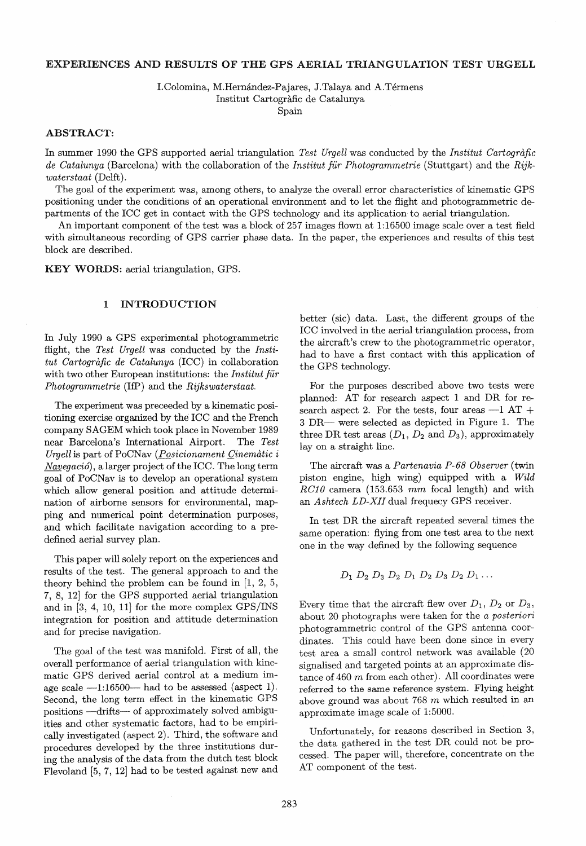# EXPERIENCES AND RESULTS OF THE GPS AERIAL TRIANGULATION TEST URGELL

I.Colomina, M.Hernández-Pajares, J.Talaya and A.Térmens Institut Cartografic de Catalunya Spain

# ABSTRACT:

In summer 1990 the GPS supported aerial triangulation *Test Urgell* was conducted by the *Institut Carlograjic de Catalunya* (Barcelona) with the collaboration of the *Institut für Photogrammetrie* (Stuttgart) and the *Rijkwaterstaat* (Delft).

The goal of the experiment was, among others, to analyze the overall error characteristics of kinematic GPS positioning under the conditions of an operational environment and to let the flight and photogrammetric departments of the ICC get in contact with the GPS technology and its application to aerial triangulation.

An important component of the test was a block of 257 images flown at 1:16500 image scale over a test field with simultaneous recording of GPS carrier phase data. In the paper, the experiences and results of this test block are described.

KEY WORDS: aerial triangulation, GPS.

#### 1 INTRODUCTION

In July 1990 a GPS experimental photogrammetric flight, the Test Urgell was conducted by the *Institut Carlograjic de Catalunya* (ICC) in collaboration with two other European institutions: the *Institut für Photogrammetrie* (HP) and the *Rijkswaterstaat.* 

The experiment was preceeded by a kinematic positioning exercise organized by the ICC and the French company SAGEM which took place in November 1989 near Barcelona's International Airport. The *Test Uryell* is part of PoCNav *(Posicionament Qinematic* i *Navegaci6),* a larger project of the ICC. The long term goal of PoCNav is to develop an operational system which allow general position and attitude determination of airborne sensors for environmental, mapping and numerical point determination purposes, and which facilitate navigation according to a predefined aerial survey plan.

This paper will solely report on the experiences and results of the test. The general approach to and the theory behind the problem can be found in [1, 2, 5, 7, 8, 12] for the GPS supported aerial triangulation and in [3, 4, 10, 11] for the more complex *GPS/INS* integration for position and attitude determination and for precise navigation.

The goal of the test was manifold. First of all, the overall performance of aerial triangulation with kinematic GPS derived aerial control at a medium image scale  $-1:16500-$  had to be assessed (aspect 1). Second, the long term effect in the kinematic GPS positions -drifts- of approximately solved ambiguities and other systematic factors, had to be empirically investigated (aspect 2). Third, the software and procedures developed by the three institutions during the analysis of the data from the dutch test block Flevoland [5,7, 12] had to be tested against new and

better (sic) data. Last, the different groups of the ICC involved in the aerial triangulation process, from the aircraft's crew to the photogrammetric operator, had to have a first contact with this application of the GPS technology.

For the purposes described above two tests were planned: AT for research aspect 1 and DR for research aspect 2. For the tests, four areas  $-1$  AT + 3 DR- were selected as depicted in Figure 1. The three DR test areas  $(D_1, D_2 \text{ and } D_3)$ , approximately lay on a straight line.

The aircraft was a *Parlenavia P-68 Observer* (twin piston engine, high wing) equipped with a *Wild*   $RC10$  camera (153.653 mm focal length) and with an *Ashtech LD-XII* dual frequecy GPS receiver.

In test DR the aircraft repeated several times the same operation: flying from one test area to the next one in the way defined by the following sequence

$$
D_1 D_2 D_3 D_2 D_1 D_2 D_3 D_2 D_1 \ldots
$$

Every time that the aircraft flew over  $D_1$ ,  $D_2$  or  $D_3$ , ab out 20 photographs were taken for the *aposteriori*  photogrammetric control of the GPS antenna coordinates. This could have been done since in every test area a small control network was available (20 signalised and targeted points at an approximate distance of 460 m from each other). All coordinates were referred to the same reference system. Flying height above ground was about  $768$  m which resulted in an approximate image scale of 1:5000.

Unfortunately, for reasons described in Section 3, the data gathered in the test DR could not be processed. The paper will, therefore, concentrate on the AT component of the test.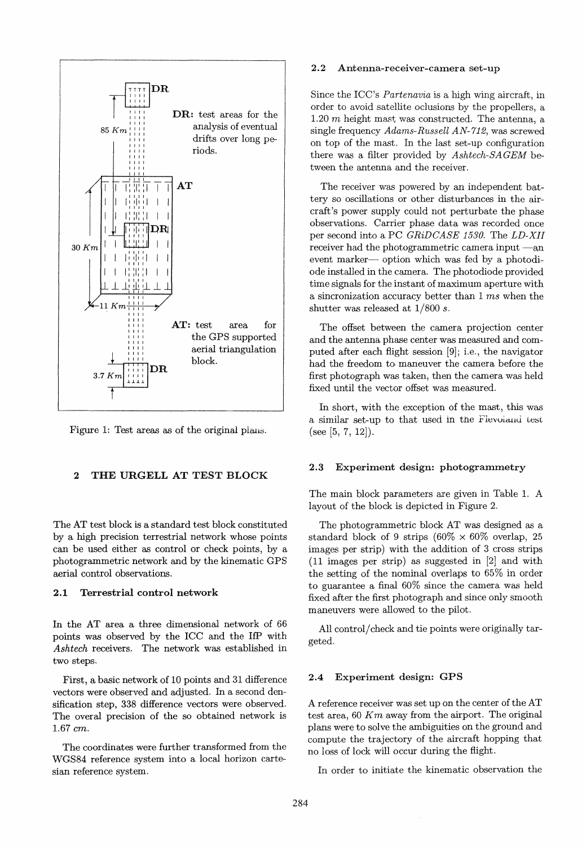

Figure 1: Test areas as of the original plans.

# 2 THE URGELL AT TEST BLOCK

The AT test block is a standard test block constituted by a high precision terrestrial network whose points can be used either as control or check points, by a photogrammetric network and by the kinematic GPS aerial control observations.

# 2.1 Terrestrial control network

In the AT area a three dimensional network of 66 points was observed by the ICC and the HP with *Ashtech* receivers. The network was established in two steps.

First, a basic network of 10 points and 31 difference vectors were observed and adjusted. In a second densification step, 338 difference vectors were observed. The overal precision of the so obtained network is 1.67 *cm.* 

The coordinates were further transformed from the WGS84 reference system into a Iocal horizon cartesian reference system.

### 2.2 Antenna-receiver-camera set-up

Since the ICC's *Partenavia* is a high wing aircraft, in order to avoid satellite oclusions by the propellers, a 1.20  $m$  height mast was constructed. The antenna, a single frequency *Adams-Russell AN-712,* was screwed on top of the mast. In the last set-up configuration there was a filter provided by *Ashtech-SAGEM* between the antenna and the receiver.

The receiver was powered by an independent battery so oscillations or other disturbances in the aircraft 's power supply could not perturbate the phase observations. Carrier phase data was recorded once per second into a PC *GRiDCASE 1530.* The *LD-XII*  receiver had the photogrammetric camera input  $-a$ ,n event marker- option which was fed by a photodiode instalied in the camera. The photodiode provided time signals for the instant of maximum aperture with a sincronization accuracy better than 1 *ms* when the shutter was released at 1/800 *s.* 

The offset between the camera projection center and the antenna phase center was measured and computed after each flight session [9]; i.e., the navigator had the freedom to maneuver the camera before the first photograph was taken, then the camera was held fixed until the vector offset was measured.

In short, with the exception of the mast, this was a similar set-up to that used in the Flevoland test (see [5, 7, 12]).

#### 2.3 Experiment design: photogrammetry

The main block parameters are given in Table 1. A layout of the block is depicted in Figure 2.

The photogrammetric block AT was designed as a standard block of 9 strips  $(60\% \times 60\%$  overlap, 25 images per strip) with the addition of 3 cross strips (11 images per strip) as suggested in [2] and with the setting of the nominal overlaps to  $65\%$  in order to guarantee a final 60% since the camera was held fixed after the first photograph and since only smooth maneuvers were allowed to the pilot.

All control/check and tie points were originally targeted.

#### 2.4 Experiment design: GPS

A reference receiver was set up on the center of the AT test area, 60 *Km* away from the airport. The original plans were to solve the ambiguities on the ground and compute the trajectory of the aircraft hopping that no 10ss of lock will occur during the flight.

In order to initiate the kinematic observation the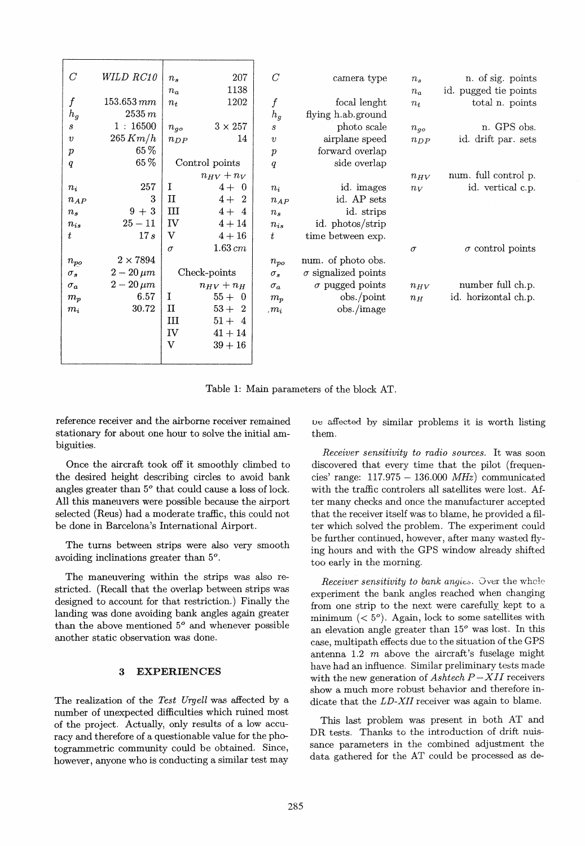| $\overline{C}$   | WILD RC10       | $n_{\rm s}$ | 207                              | $\overline{C}$   | camera type                | $n_{s}$  | n. of sig. points       |
|------------------|-----------------|-------------|----------------------------------|------------------|----------------------------|----------|-------------------------|
|                  |                 | $n_a$       | 1138                             |                  |                            | $n_a$    | id. pugged tie points   |
| $\boldsymbol{f}$ | $153.653 \, mm$ | $n_t$       | 1202                             | $\boldsymbol{f}$ | focal lenght               | $n_{t}$  | total n. points         |
| $h_g$            | 2535 m          |             |                                  | $h_g$            | flying h.ab.ground         |          |                         |
| S                | 1:16500         | $n_{qo}$    | $3 \times 257$                   | $\boldsymbol{s}$ | photo scale                | $n_{go}$ | n. GPS obs.             |
| $\boldsymbol{v}$ | 265 Km/h        | $n_{DP}$    | 14                               | $\boldsymbol{v}$ | airplane speed             | $n_{DP}$ | id. drift par. sets     |
| $\,p\,$          | 65%             |             |                                  | $\boldsymbol{p}$ | forward overlap            |          |                         |
| $\it q$          | 65%             |             | Control points                   | q                | side overlap               |          |                         |
|                  |                 |             | $n_{HV}$ + $n_V$                 |                  |                            | $n_{HV}$ | num. full control p.    |
| $n_i$            | 257             | I           | $4 + 0$                          | $n_i$            | id. images                 | $n_V$    | id. vertical c.p.       |
| $n_{AP}$         | 3               | п           | $4+$<br>$\overline{2}$           | $n_{AP}$         | id. AP sets                |          |                         |
| n <sub>2</sub>   | $9 + 3$         | Ш           | $4 + 4$                          | $n_{\rm s}$      | id. strips                 |          |                         |
| $n_{is}$         | $25 - 11$       | IV          | $4 + 14$                         | $n_{is}$         | id. photos/strip           |          |                         |
| t                | 17s             | v           | $4+16$                           | t                | time between exp.          |          |                         |
|                  |                 | $\sigma$    | $1.63 \, cm$                     |                  |                            | $\sigma$ | $\sigma$ control points |
| $n_{po}$         | $2\times7894$   |             |                                  | $n_{po}$         | num. of photo obs.         |          |                         |
| $\sigma_s$       | $2-20 \,\mu m$  |             | Check-points                     | $\sigma_s$       | $\sigma$ signalized points |          |                         |
| $\sigma_a$       | $2-20 \,\mu m$  |             | $n_{HV}+n_H$                     | $\sigma_a$       | $\sigma$ pugged points     | $n_{HV}$ | number full ch.p.       |
| $m_p$            | 6.57            | I           | $55 + 0$                         | $m_p$            | obs./point                 | $n_H$    | id. horizontal ch.p.    |
| $m_i$            | 30.72           | п           | $53+$<br>$\overline{\mathbf{2}}$ | $,m_i$           | obs./image                 |          |                         |
|                  |                 | III         | $51 + 4$                         |                  |                            |          |                         |
|                  |                 | IV          | $41 + 14$                        |                  |                            |          |                         |
|                  |                 | $\bf{V}$    | $39 + 16$                        |                  |                            |          |                         |
|                  |                 |             |                                  |                  |                            |          |                         |

Table 1: Main parameters of the block AT.

reference receiver and the airbome receiver remained stationary for about one hour to solve the initial ambiguities.

Once the aircraft took off it smoothly climbed to the desired height describing eircles to avoid bank angles greater than  $5^{\circ}$  that could cause a loss of lock. All this maneuvers were possible because the airport selected (Reus) had a moderate traffic, this could not be done in Barcelona's International Airport.

The turns between strips were also very smooth avoiding inclinations greater than *50.* 

The maneuvering within the strips was also restricted. (Recall that the overlap between strips was designed to account for that restriction.) Finally the landing was done avoiding bank angles again greater than the above mentioned *50* and whenever possible another static observation was done.

## 3 EXPERIENCES

The realization of the *Test Urgell* was affected by a number of unexpected difficulties which ruined most of the project. Actually, only results of a low accuracy and therefore of a questionable value for the photogrammetric community could be obtained. Since, however, anyone who is conducting a similar test may

Oe affected by similar problems it is worth listing them.

*Receiver sensitivity to radio sources.* It was soon discovered that every time that the pilot (frequeneies' range: 117.975 - 136.000 *MHz)* communicated with the traffic controlers all satellites were lost. After many checks and once the manufacturer accepted that the receiver itself was to blame, he provided a filter which solved the problem. The experiment could be further continued, however, after many wasted flying hours and with the GPS window already shifted too early in the morning.

*Receiver sensitivity to bank angles.* Over the whole experiment the bank angles reached when changing from one strip to the next were carefully kept to a minimum  $( $5^{\circ}$ ). Again, lock to some satellites with$ an elevation angle greater than  $15^{\circ}$  was lost. In this case, multipath effects due to the situation of the GPS antenna 1.2  $m$  above the aircraft's fuselage might have had an influence. Similar preliminary tests made with the new generation of  $Ashtech P-XII$  receivers show a much more robust behavior and therefore indicate that the *LD-XII* receiver was again to blame.

This last problem was present in both AT and DR tests. Thanks to the introduction of drift nuissance parameters in the combined adjustment the data gathered for the AT could be processed as de-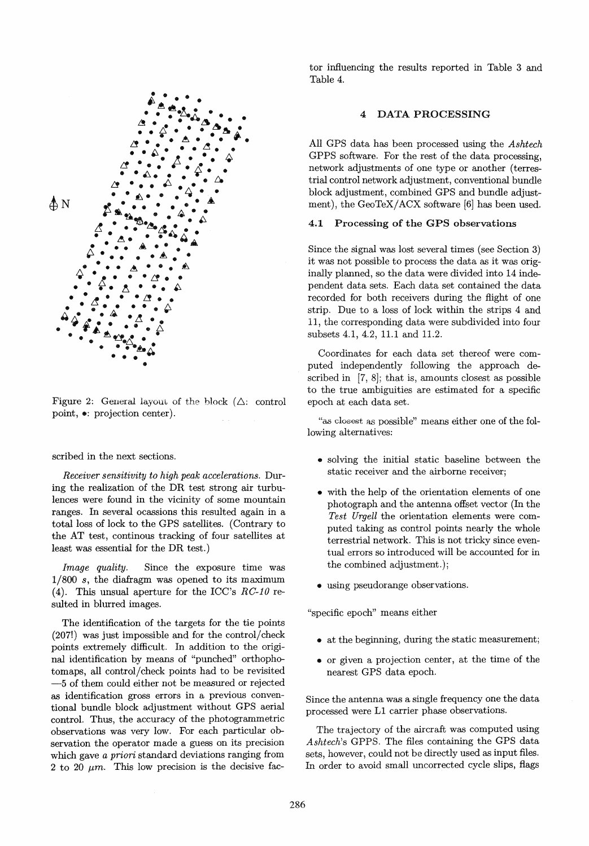

Figure 2: General layout of the block  $(\triangle:$  control point,  $\bullet$ : projection center).

#### scribed in the next sections.

*Receiver sensitivity to high peak accelerations.* During the realization of the DR test strong air turbulences were found in the vicinity of some mountain ranges. In several ocassions this resulted again in a totalloss of lock to the GPS satellites. (Contrary to the AT test, continous tracking of four satellites at least was essential for the DR test.)

*Image quality.* Since the exposure time was *1/800 s,* the diafragm was opened to its maximum (4). This unsual aperture for the ICC's  $RC-10$  resulted in blurred images.

The identification of the targets for the tie points (207!) was just impossible and for the control/check points extremely difficult. In addition to the original identification by means of "punched" orthophotomaps, all control/check points had to be revisited -5 of them could either not be measured or rejected as identification gross errors in a previous conventional bundle block adjustment without GPS aerial control. Thus, the accuracy of the photogrammetric observations was very low. For each particular observation the operator made a guess on its precision which gave *apriori* standard deviations ranging from 2 to 20  $\mu$ m. This low precision is the decisive factor influencing the results reported in Table 3 and Table 4.

## DATA PROCESSING

All GPS data has been processed using the *Ashtech*  GPPS software. For the rest of the data processing, network adjustments of one type or another (terrestrial control network adjustment, conventional bundle block adjustment, combined GPS and bundle adjustment), the GeoTeX/ACX software [6] has been used.

## 4.1 Processing of the GPS observations

Since the signal was lost several times (see Section 3) it was not possible to process the data as it was originally planned, so the data were divided into 14 independent data sets. Each data set contained the data recorded for both receivers during the fiight of one strip. Due to a loss of lock within the strips 4 and 11, the corresponding data were subdivided into four subsets 4.1, 4.2, 11.1 and 11.2.

Coordinates for each data set thereof were computed independently following the approach described in [7, 8]; that is, amounts closest as possible to the true ambiguities are estimated for a specific epoch at each data set.

"as dosest as possible" means either one of the following alternatives:

- solving the initial static baseline between the static receiver and the airborne receiver;
- with the help of the orientation elements of one photograph and the antenna offset vector (In the *Test Urgell* the orientation elements were computed taking as control points nearly the whole terrestrial network. This is not tricky since eventual errors so introduced will be accounted for in the combined adjustment.);
- using pseudorange observations.

"specific epoch" means either

- at the beginning, during the static measurement;
- or given a projection center, at the time of the nearest GPS data epoch.

Since the antenna was a single frequency one the data processed were LI carrier phase observations.

The trajectory of the aircraft was computed using *Ashtech's* GPPS. The files containing the GPS data sets, however, could not be directly used as input files. In order to avoid small uncorrected cycle slips, fiags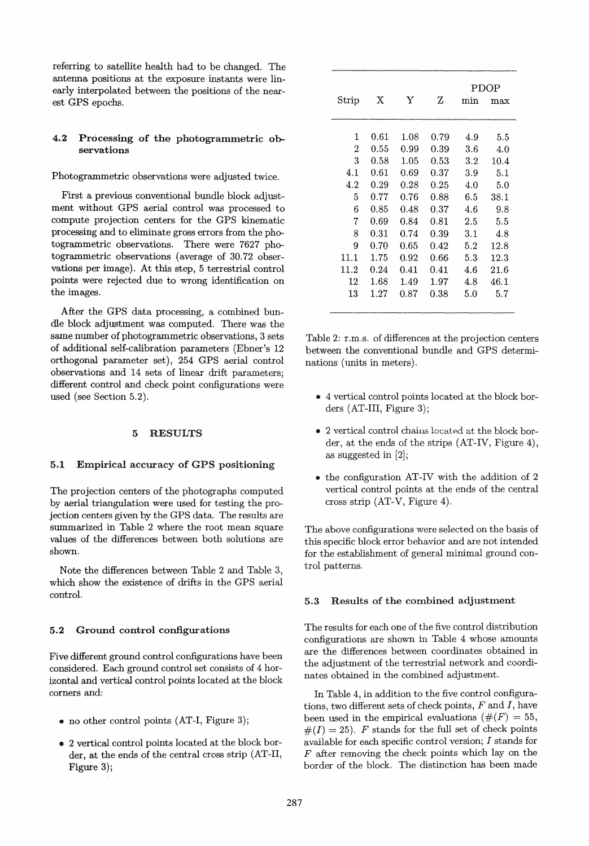referring to satellite health had to be changed. The antenna positions at the exposure instants were linearly interpolated between the positions of the nearest GPS epochs.

# 4.2 Processing of the photogrammetric observations

Photogrammetric observations were adjusted twice.

First a previous conventional bundle block adjustment without GPS aerial control was processed to compute projection centers for the GPS kinematic processing and to eliminate gross errors from the photogrammetric observations. There were 7627 photogrammetric observations (average of 30.72 observations per image). At this step, 5 terrestrial control points were rejected due to wrong identification on the images.

After the GPS data processing, a combined bundle block adjustment was computed. There was the same number of photogrammetric observations, 3 sets of additional self-calibration parameters (Ebner's 12 orthogonal parameter set), 254 GPS aerial control observations and 14 sets of linear drift parameters; different control and check point configurations were used (see Section 5.2).

#### 5 RESULTS

### 5.1 Empirical accuracy of GPS positioning

The projection centers of the photographs computed by aerial triangulation were used for testing the projection centers given by the GPS data. The results are summarized in Table 2 where the root mean square values of the differences between both solutions are shown.

Note the differences between Table 2 and Table 3, which show the existence of drifts in the GPS aerial control.

#### 5.2 Ground control configurations

Five different ground control configurations have been considered. Each ground control set consists of 4 horizontal and vertical control points located at the block corners and:

- no other control points (AT-I, Figure 3);
- 2 vertical control points located at the block border, at the ends of the central cross strip (AT-II, Figure 3);

|                |      |      |            | PDOP    |      |  |  |
|----------------|------|------|------------|---------|------|--|--|
| Strip          | X    | Y    | Ζ          | min     | max  |  |  |
|                |      |      |            |         |      |  |  |
| 1              | 0.61 | 1.08 | 0.79       | 4.9     | 5.5  |  |  |
| $\overline{2}$ | 0.55 | 0.99 | 0.39       | 3.6     | 4.0  |  |  |
| 3              | 0.58 | 1.05 | 0.53       | $3.2\,$ | 10.4 |  |  |
| 4.1            | 0.61 | 0.69 | $\rm 0.37$ | 3.9     | 5.1  |  |  |
| 4.2            | 0.29 | 0.28 | 0.25       | 4.0     | 5.0  |  |  |
| 5              | 0.77 | 0.76 | 0.88       | 6.5     | 38.1 |  |  |
| 6              | 0.85 | 0.48 | 0.37       | 4.6     | 9.8  |  |  |
| 7              | 0.69 | 0.84 | 0.81       | 2.5     | 5.5  |  |  |
| 8              | 0.31 | 0.74 | 0.39       | 3.1     | 4.8  |  |  |
| 9              | 0.70 | 0.65 | 0.42       | 5.2     | 12.8 |  |  |
| 11.1           | 1.75 | 0.92 | 0.66       | 5.3     | 12.3 |  |  |
| 11.2           | 0.24 | 0.41 | 0.41       | 4.6     | 21.6 |  |  |
| 12             | 1.68 | 1.49 | 1.97       | 4.8     | 46.1 |  |  |
| 13             | 1.27 | 0.87 | 0.38       | 5.0     | 5.7  |  |  |

Table 2: r.m.s. of differences at the projection centers between the conventional bundle and GPS determinations (units in meters).

- 4 vertical control points located at the block borders (AT-IH, Figure 3);
- 2 vertical control chains located at the block border, at the ends of the strips (AT-IV, Figure 4), as suggested in [2);
- the configuration AT-IV with the addition of 2 vertical control points at the ends of the central cross strip (AT-V, Figure 4).

The above configurations were selected on the basis of this specific block error behavior and are not intended for the establishment of general minimal ground control patterns.

#### 5.3 Results of the combined adjustment

The results for each one of the five control distribution configurations are shown in Table 4 whose amounts are the differences between coordinates obtained in the adjustment of the terrestrial network and coordinates obtained in the combined adjustment.

In Table 4, in addition to the five control configurations, two different sets of check points,  $F$  and  $I$ , have been used in the empirical evaluations ( $#(F) = 55$ ,  $#(I) = 25$ . *F* stands for the full set of check points available for each specific control version; I stands for  $F$  after removing the check points which lay on the border of the block. The distinction has been made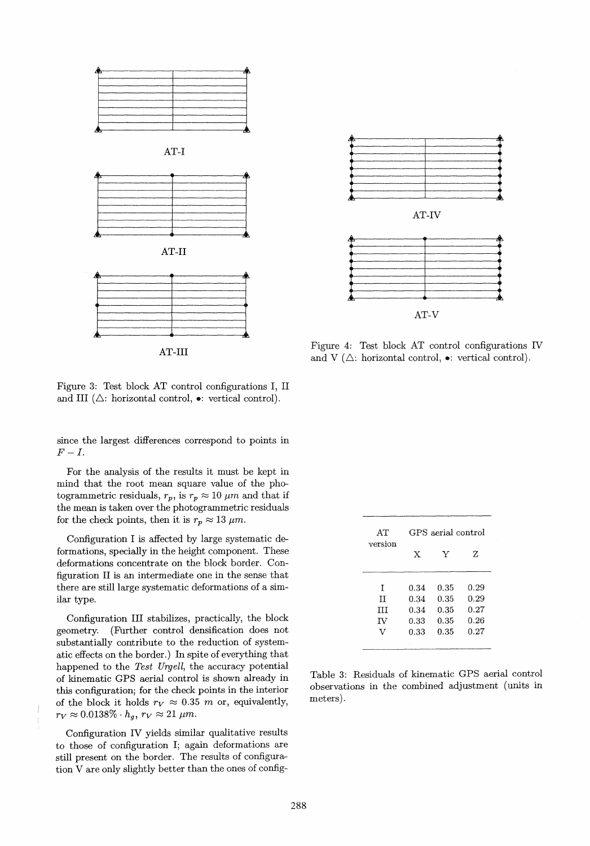

AT-lII

Figure 3: Test block AT control configurations I, II and III ( $\triangle$ : horizontal control,  $\bullet$ : vertical control).

since the largest differences correspond to points in  $F-I.$ 

For the analysis of the results it must be kept in mind that the root mean square value of the photogrammetric residuals,  $r_p$ , is  $r_p \approx 10 \ \mu m$  and that if the mean is taken over the photogrammetric residuals for the check points, then it is  $r_p \approx 13 \ \mu m$ .

Configuration I is affected by large systematic deformations, specially in the height component. These deformations concentrate on the block border. Configuration II is an intermediate one in the sense that there are still large systematic deformations of a similar type.

Configuration III stabilizes, practically, the block geometry. (Further control densification does not substantially contribute to the reduction of systematic effects on the border. ) In spite of everything that happened to the *Test Urgell,* the accuracy potential of kinematic GPS aerial control is shown already in this configuration; for the check points in the interior of the block it holds  $r_V \approx 0.35$  m or, equivalently,  $r_V \approx 0.0138\% \cdot h_g, r_V \approx 21 \ \mu m.$ 

Configuration IV yields similar qualitative results to those of configuration I; again deformations are still present on the border. The results of configuration V are only slightly better than the ones of config-



Figure 4: Test block AT control configurations IV and V  $(\triangle$ : horizontal control,  $\bullet$ : vertical control).

| AT      | GPS aerial control |      |      |  |  |  |
|---------|--------------------|------|------|--|--|--|
| version | X                  | Y    | z    |  |  |  |
| T       | 0.34               | 0.35 | 0.29 |  |  |  |
| TT      | 0.34               | 0.35 | 0.29 |  |  |  |
| Ш       | 0.34               | 0.35 | 0.27 |  |  |  |
| IV      | 0.33               | 0.35 | 0.26 |  |  |  |
| v       | 0.33               | 0.35 | 0.27 |  |  |  |
|         |                    |      |      |  |  |  |

Table 3: Residuals of kinematic GPS aerial control observations in the combined adjustment (units in meters).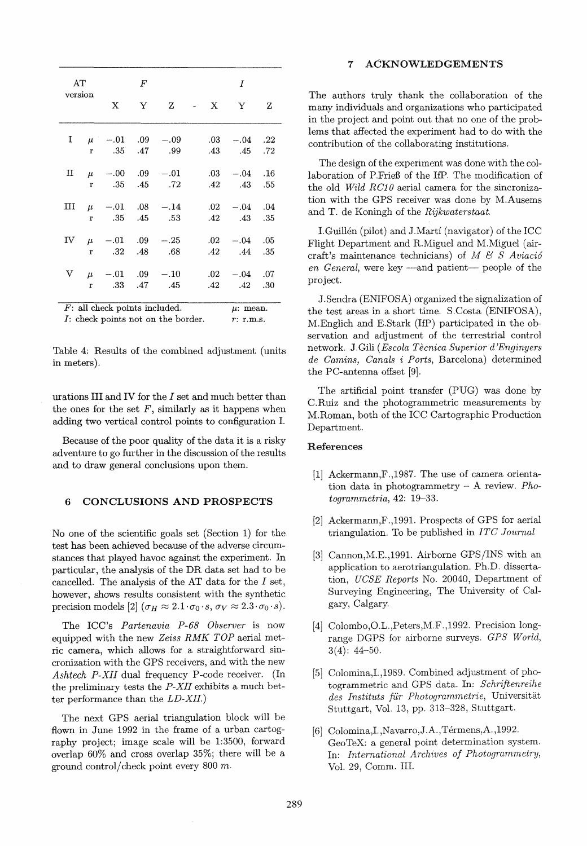| AT<br>version                                                                                             |              | $\boldsymbol{F}$        |              |                          |  | Ι              |                        |            |  |
|-----------------------------------------------------------------------------------------------------------|--------------|-------------------------|--------------|--------------------------|--|----------------|------------------------|------------|--|
|                                                                                                           |              | X                       | $\mathbf{Y}$ | Z                        |  | $- X$          | Y                      | z          |  |
| Ι.                                                                                                        | $\mathbf{r}$ | $\mu$ -.01 .09<br>.35   | .47          | $-.09$<br>.99            |  | $.03-$<br>.43  | $-.04$<br>.45          | .22<br>.72 |  |
| п                                                                                                         | $\mathbf{r}$ | $\mu$ -.00<br>.35       | .09<br>.45   | $-.01$<br>.72            |  | $.03-$<br>.42  | $-.04$<br>.43          | .16<br>.55 |  |
| ш                                                                                                         | $\mathbf{r}$ | $\mu$ -.01 .08<br>- .35 | .45          | $-.14$<br>.53            |  | $.02\,$<br>.42 | $-.04$<br>.43          | .04<br>.35 |  |
| IV                                                                                                        | r            | $\mu$ -.01 .09<br>.32   | .48          | $-.25$<br>.68            |  | $.02\,$        | $-.04$<br>$.42 \t .44$ | .05<br>.35 |  |
| V                                                                                                         | $\mu$<br>r   | .33                     | .47          | $-.01$ .09 $-.10$<br>.45 |  | .02<br>$.42\,$ | $-.04$<br>.42          | .07<br>.30 |  |
| $F$ : all check points included.<br>$\mu$ : mean.<br>$I$ : check points not on the border.<br>$r:$ r.m.s. |              |                         |              |                          |  |                |                        |            |  |

Table 4: Results of the combined adjustment (units in meters).

urations III and IV for the I set and much better than the ones for the set  $F$ , similarly as it happens when adding two vertical control points to configuration 1.

Because of the poor quality of the data it is a risky adventure to go further in the discussion of the results and to draw general conclusions upon them.

#### 6 CONCLUSIONS AND PROSPECTS

No one of the scientific goals set (Section 1) for the test has been achieved because of the adverse circumstances that played havoc against the experiment. In particular, the analysis of the DR data set had to be cancelled. The analysis of the AT data for the I set, however, shows results consistent with the synthetic precision models [2]  $(\sigma_H \approx 2.1 \cdot \sigma_0 \cdot s, \sigma_V \approx 2.3 \cdot \sigma_0 \cdot s).$ 

The ICC's *Partenavia P-68 Ob8erver* is now equipped with the new *Zeiss RMK TOP* aerial metric camera, which allows for a straightforward sincronization with the GPS receivers, and with the new *Ashtech P-XII* dual frequency P-code receiver. (In the preliminary tests the *P-XII* exhibits a much better performance than the *LD-XII.)* 

The next GPS aerial triangulation block will be flown in June 1992 in the frame of a urban cartography project; image scale will be 1:3500, forward overlap 60% and cross overlap 35%; there will be a ground control/check point every  $800 \; m$ .

## 7 ACKNOWLEDGEMENTS

The authors truly thank the collaboration of the many individuals and organizations who participated in the project and point out that no one of the problems that affected the experiment had to do with the contribution of the collaborating institutions .

The design of the experiment was done with the collaboration of P.Frieß of the HP. The modification of the old *Wild RG10* aerial camera for the sincronization with the GPS receiver was done by M.Ausems and T. de Koningh of the *Rijkwaterstaat .* 

I.Guillén (pilot) and J.Martí (navigator) of the ICC Flight Department and R.Miguel and M.Miguel (aircraft's maintenance technicians) of  $M \& S$  Aviació *en General,* were key —and patient— people of the project.

J.Sendra (ENIFOSA) organized the signalization of the test areas in a short time. S. Costa (ENIFOSA), M.Englich and E.Stark (HP) participated in the observation and adjustment of the terrestrial control network. J. Gili *(Escola Tecnica Superior d 'Enginyers de Gamins, Ganals* i *Ports,* Barcelona) determined the PC-antenna offset [9].

The artificial point transfer (PUG) was done by C.Ruiz and the photogrammetric measurements by M.Roman, both of the ICC Cartographic Production Department.

## References

- [1] Ackermann,F.,1987. The use of camera orientation data in photogrammetry - A review. *Photogrammetria,* 42: 19-33.
- [2] Ackermann,F.,1991. Prospects of GPS for aerial triangulation. To be published in *ITG Journal*
- [3] Cannon, M.E., 1991. Airborne GPS/INS with an application to aerotriangulation. Ph.D. dissertation, *UGSE Reports* No. 20040, Department of Surveying Engineering, The University of *Cal*gary, Calgary.
- [4] Colombo, O.L., Peters, M.F., 1992. Precision longrange DGPS for airborne surveys. *GPS World,*   $3(4): 44 - 50.$
- [5] Colomina,I.,1989. Combined adjustment of photogrammetric and GPS data. In: *Schriftenreihe des Instituts für Photogrammetrie,* Universität Stuttgart, Vol. 13, pp. 313-328, Stuttgart.
- [6] Colomina, I., Navarro, J.A., Térmens, A., 1992. GeoTeX: a general point determination system. In: *International Archives of Photogrammetry,*  Vol. 29, Comm. IH.